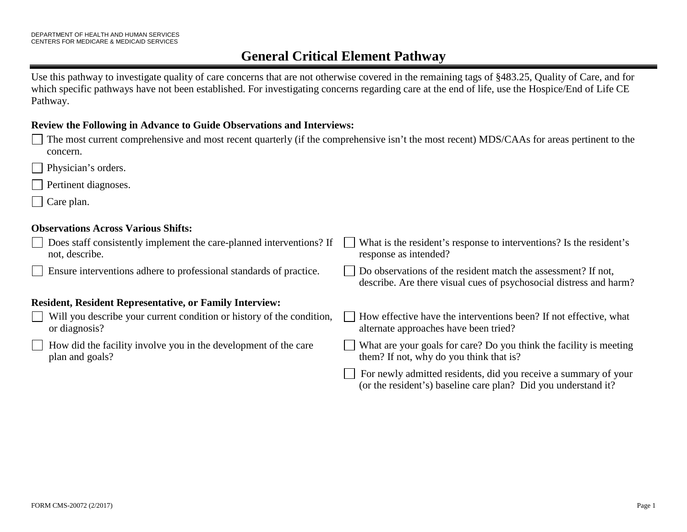# **General Critical Element Pathway**

Use this pathway to investigate quality of care concerns that are not otherwise covered in the remaining tags of §483.25, Quality of Care, and for which specific pathways have not been established. For investigating concerns regarding care at the end of life, use the Hospice/End of Life CE Pathway.

### **Review the Following in Advance to Guide Observations and Interviews:**

| $\mid \cdot \mid$ The most current comprehensive and most recent quarterly (if the comprehensive isn't the most recent) MDS/CAAs for areas pertinent to the |  |
|-------------------------------------------------------------------------------------------------------------------------------------------------------------|--|
| concern.                                                                                                                                                    |  |

- Physician's orders.
- Pertinent diagnoses.
- Care plan.

# **Observations Across Various Shifts:**

|                                                                | $\Box$ Does staff consistently implement the care-planned interventions? If<br>not, describe. | What is the resident's response to interventions? Is the resident's<br>response as intended?                                        |  |  |
|----------------------------------------------------------------|-----------------------------------------------------------------------------------------------|-------------------------------------------------------------------------------------------------------------------------------------|--|--|
|                                                                | Ensure interventions adhere to professional standards of practice.                            | Do observations of the resident match the assessment? If not,<br>describe. Are there visual cues of psychosocial distress and harm? |  |  |
| <b>Resident, Resident Representative, or Family Interview:</b> |                                                                                               |                                                                                                                                     |  |  |
|                                                                | $\Box$ Will you describe your current condition or history of the condition,<br>or diagnosis? | How effective have the interventions been? If not effective, what<br>alternate approaches have been tried?                          |  |  |
|                                                                | How did the facility involve you in the development of the care<br>plan and goals?            | What are your goals for care? Do you think the facility is meeting<br>them? If not, why do you think that is?                       |  |  |
|                                                                |                                                                                               | For newly admitted residents, did you receive a summary of your                                                                     |  |  |

(or the resident's) baseline care plan? Did you understand it?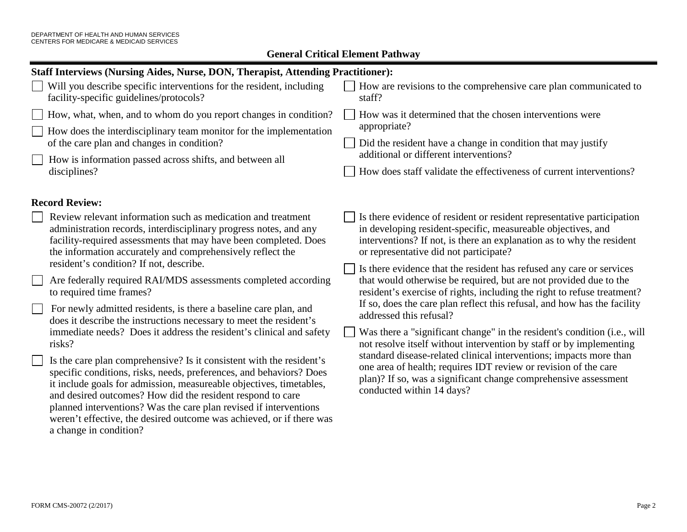# **General Critical Element Pathway**

| <b>Staff Interviews (Nursing Aides, Nurse, DON, Therapist, Attending Practitioner):</b>                                                                                                                                                                                                                                                                                                                                       |                                                                                                                                                                                                                       |  |  |  |
|-------------------------------------------------------------------------------------------------------------------------------------------------------------------------------------------------------------------------------------------------------------------------------------------------------------------------------------------------------------------------------------------------------------------------------|-----------------------------------------------------------------------------------------------------------------------------------------------------------------------------------------------------------------------|--|--|--|
| Will you describe specific interventions for the resident, including                                                                                                                                                                                                                                                                                                                                                          | How are revisions to the comprehensive care plan communicated to                                                                                                                                                      |  |  |  |
| facility-specific guidelines/protocols?                                                                                                                                                                                                                                                                                                                                                                                       | staff?                                                                                                                                                                                                                |  |  |  |
| How, what, when, and to whom do you report changes in condition?                                                                                                                                                                                                                                                                                                                                                              | How was it determined that the chosen interventions were                                                                                                                                                              |  |  |  |
| How does the interdisciplinary team monitor for the implementation                                                                                                                                                                                                                                                                                                                                                            | appropriate?                                                                                                                                                                                                          |  |  |  |
| of the care plan and changes in condition?                                                                                                                                                                                                                                                                                                                                                                                    | Did the resident have a change in condition that may justify                                                                                                                                                          |  |  |  |
| How is information passed across shifts, and between all                                                                                                                                                                                                                                                                                                                                                                      | additional or different interventions?                                                                                                                                                                                |  |  |  |
| disciplines?                                                                                                                                                                                                                                                                                                                                                                                                                  | How does staff validate the effectiveness of current interventions?                                                                                                                                                   |  |  |  |
| <b>Record Review:</b>                                                                                                                                                                                                                                                                                                                                                                                                         |                                                                                                                                                                                                                       |  |  |  |
| Review relevant information such as medication and treatment                                                                                                                                                                                                                                                                                                                                                                  | Is there evidence of resident or resident representative participation                                                                                                                                                |  |  |  |
| administration records, interdisciplinary progress notes, and any                                                                                                                                                                                                                                                                                                                                                             | in developing resident-specific, measureable objectives, and                                                                                                                                                          |  |  |  |
| facility-required assessments that may have been completed. Does                                                                                                                                                                                                                                                                                                                                                              | interventions? If not, is there an explanation as to why the resident                                                                                                                                                 |  |  |  |
| the information accurately and comprehensively reflect the                                                                                                                                                                                                                                                                                                                                                                    | or representative did not participate?                                                                                                                                                                                |  |  |  |
| resident's condition? If not, describe.                                                                                                                                                                                                                                                                                                                                                                                       | Is there evidence that the resident has refused any care or services                                                                                                                                                  |  |  |  |
| Are federally required RAI/MDS assessments completed according                                                                                                                                                                                                                                                                                                                                                                | that would otherwise be required, but are not provided due to the                                                                                                                                                     |  |  |  |
| to required time frames?                                                                                                                                                                                                                                                                                                                                                                                                      | resident's exercise of rights, including the right to refuse treatment?                                                                                                                                               |  |  |  |
| For newly admitted residents, is there a baseline care plan, and                                                                                                                                                                                                                                                                                                                                                              | If so, does the care plan reflect this refusal, and how has the facility                                                                                                                                              |  |  |  |
| does it describe the instructions necessary to meet the resident's                                                                                                                                                                                                                                                                                                                                                            | addressed this refusal?                                                                                                                                                                                               |  |  |  |
| immediate needs? Does it address the resident's clinical and safety<br>risks?                                                                                                                                                                                                                                                                                                                                                 | Was there a "significant change" in the resident's condition (i.e., will<br>not resolve itself without intervention by staff or by implementing<br>standard disease-related clinical interventions; impacts more than |  |  |  |
| Is the care plan comprehensive? Is it consistent with the resident's<br>specific conditions, risks, needs, preferences, and behaviors? Does<br>it include goals for admission, measureable objectives, timetables,<br>and desired outcomes? How did the resident respond to care<br>planned interventions? Was the care plan revised if interventions<br>weren't effective, the desired outcome was achieved, or if there was | one area of health; requires IDT review or revision of the care<br>plan)? If so, was a significant change comprehensive assessment<br>conducted within 14 days?                                                       |  |  |  |

a change in condition?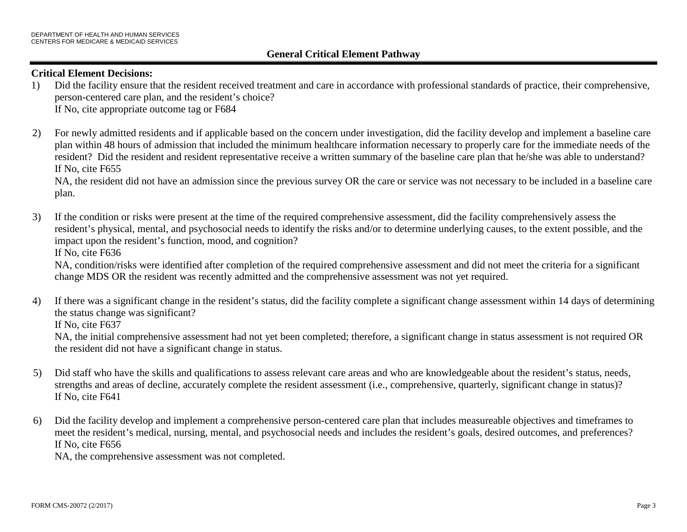#### **Critical Element Decisions:**

- 1) Did the facility ensure that the resident received treatment and care in accordance with professional standards of practice, their comprehensive, person-centered care plan, and the resident's choice? If No, cite appropriate outcome tag or F684
- 2) For newly admitted residents and if applicable based on the concern under investigation, did the facility develop and implement a baseline care plan within 48 hours of admission that included the minimum healthcare information necessary to properly care for the immediate needs of the resident? Did the resident and resident representative receive a written summary of the baseline care plan that he/she was able to understand? If No, cite F655

NA, the resident did not have an admission since the previous survey OR the care or service was not necessary to be included in a baseline care plan.

3) If the condition or risks were present at the time of the required comprehensive assessment, did the facility comprehensively assess the resident's physical, mental, and psychosocial needs to identify the risks and/or to determine underlying causes, to the extent possible, and the impact upon the resident's function, mood, and cognition? If No, cite F636

NA, condition/risks were identified after completion of the required comprehensive assessment and did not meet the criteria for a significant change MDS OR the resident was recently admitted and the comprehensive assessment was not yet required.

4) If there was a significant change in the resident's status, did the facility complete a significant change assessment within 14 days of determining the status change was significant?

If No, cite F637

NA, the initial comprehensive assessment had not yet been completed; therefore, a significant change in status assessment is not required OR the resident did not have a significant change in status.

- 5) Did staff who have the skills and qualifications to assess relevant care areas and who are knowledgeable about the resident's status, needs, strengths and areas of decline, accurately complete the resident assessment (i.e., comprehensive, quarterly, significant change in status)? If No, cite F641
- 6) Did the facility develop and implement a comprehensive person-centered care plan that includes measureable objectives and timeframes to meet the resident's medical, nursing, mental, and psychosocial needs and includes the resident's goals, desired outcomes, and preferences? If No, cite F656

NA, the comprehensive assessment was not completed.